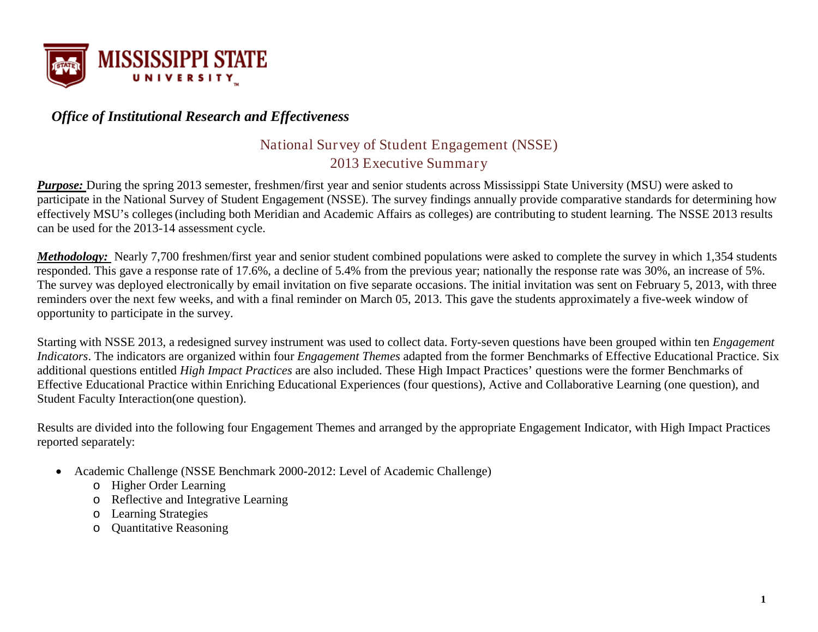

### *Office of Institutional Research and Effectiveness*

### National Survey of Student Engagement (NSSE) 2013 Executive Summary

*Purpose:* During the spring 2013 semester, freshmen/first year and senior students across Mississippi State University (MSU) were asked to participate in the National Survey of Student Engagement (NSSE). The survey findings annually provide comparative standards for determining how effectively MSU's colleges(including both Meridian and Academic Affairs as colleges) are contributing to student learning. The NSSE 2013 results can be used for the 2013-14 assessment cycle.

*Methodology:* Nearly 7,700 freshmen/first year and senior student combined populations were asked to complete the survey in which 1,354 students responded. This gave a response rate of 17.6%, a decline of 5.4% from the previous year; nationally the response rate was 30%, an increase of 5%. The survey was deployed electronically by email invitation on five separate occasions. The initial invitation was sent on February 5, 2013, with three reminders over the next few weeks, and with a final reminder on March 05, 2013. This gave the students approximately a five-week window of opportunity to participate in the survey.

Starting with NSSE 2013, a redesigned survey instrument was used to collect data. Forty-seven questions have been grouped within ten *Engagement Indicators*. The indicators are organized within four *Engagement Themes* adapted from the former Benchmarks of Effective Educational Practice. Six additional questions entitled *High Impact Practices* are also included. These High Impact Practices' questions were the former Benchmarks of Effective Educational Practice within Enriching Educational Experiences (four questions), Active and Collaborative Learning (one question), and Student Faculty Interaction(one question).

Results are divided into the following four Engagement Themes and arranged by the appropriate Engagement Indicator, with High Impact Practices reported separately:

- Academic Challenge (NSSE Benchmark 2000-2012: Level of Academic Challenge)
	- o Higher Order Learning
	- o Reflective and Integrative Learning
	- o Learning Strategies
	- o Quantitative Reasoning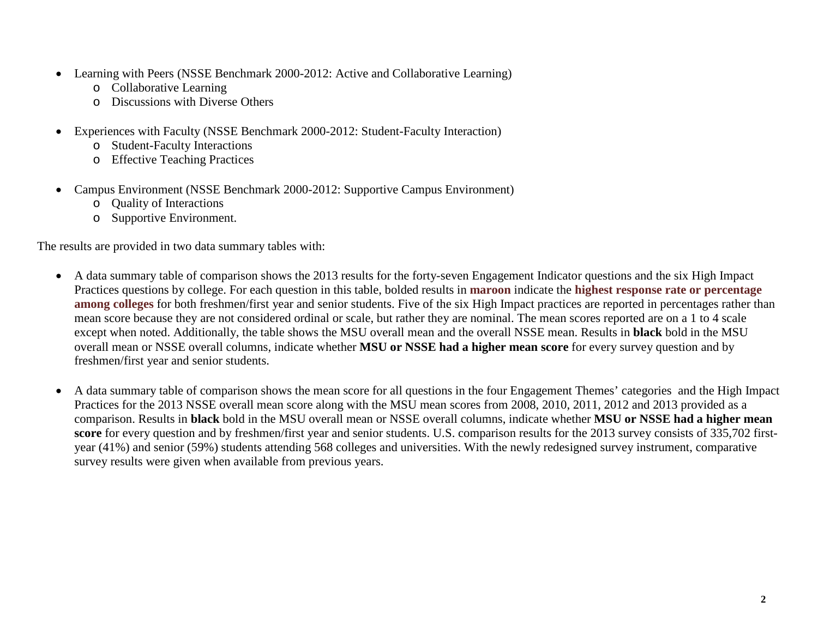- Learning with Peers (NSSE Benchmark 2000-2012: Active and Collaborative Learning)
	- o Collaborative Learning
	- o Discussions with Diverse Others
- Experiences with Faculty (NSSE Benchmark 2000-2012: Student-Faculty Interaction)
	- o Student-Faculty Interactions
	- o Effective Teaching Practices
- Campus Environment (NSSE Benchmark 2000-2012: Supportive Campus Environment)
	- o Quality of Interactions
	- o Supportive Environment.

The results are provided in two data summary tables with:

- A data summary table of comparison shows the 2013 results for the forty-seven Engagement Indicator questions and the six High Impact Practices questions by college. For each question in this table, bolded results in **maroon** indicate the **highest response rate or percentage among colleges** for both freshmen/first year and senior students. Five of the six High Impact practices are reported in percentages rather than mean score because they are not considered ordinal or scale, but rather they are nominal. The mean scores reported are on a 1 to 4 scale except when noted. Additionally, the table shows the MSU overall mean and the overall NSSE mean. Results in **black** bold in the MSU overall mean or NSSE overall columns, indicate whether **MSU or NSSE had a higher mean score** for every survey question and by freshmen/first year and senior students.
- A data summary table of comparison shows the mean score for all questions in the four Engagement Themes' categories and the High Impact Practices for the 2013 NSSE overall mean score along with the MSU mean scores from 2008, 2010, 2011, 2012 and 2013 provided as a comparison. Results in **black** bold in the MSU overall mean or NSSE overall columns, indicate whether **MSU or NSSE had a higher mean score** for every question and by freshmen/first year and senior students. U.S. comparison results for the 2013 survey consists of 335,702 firstyear (41%) and senior (59%) students attending 568 colleges and universities. With the newly redesigned survey instrument, comparative survey results were given when available from previous years.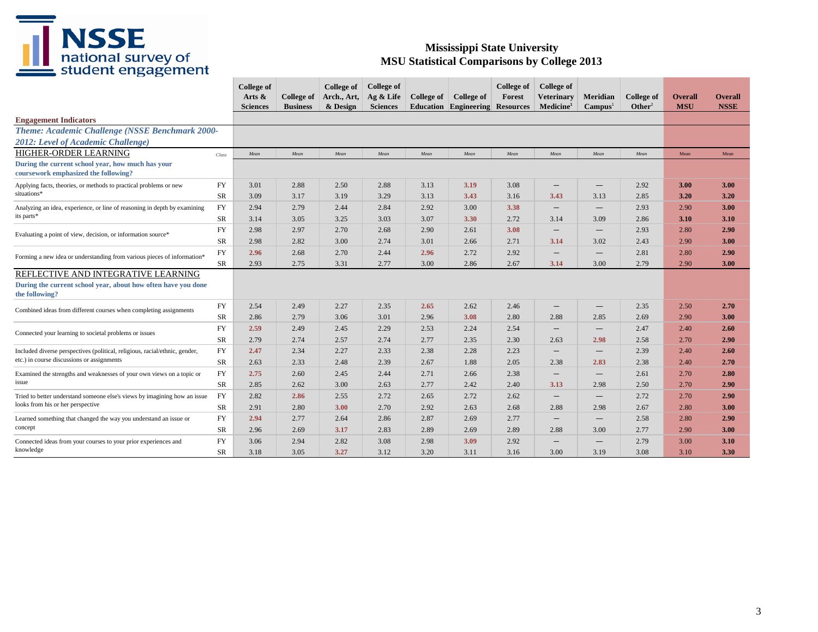

|                                                                                           |            | College of<br>Arts $\&$<br><b>Sciences</b> | <b>College of</b><br><b>Business</b> | College of<br>Arch., Art,<br>& Design | College of<br>Ag $&$ Life<br><b>Sciences</b> | College of | College of<br><b>Education Engineering Resources</b> | <b>College of</b><br>Forest | College of<br><b>Veterinary</b><br>Medicine <sup>1</sup> | Meridian<br>Campus <sup>1</sup> | <b>College of</b><br>Other <sup>2</sup> | <b>Overall</b><br><b>MSU</b> | <b>Overall</b><br><b>NSSE</b> |
|-------------------------------------------------------------------------------------------|------------|--------------------------------------------|--------------------------------------|---------------------------------------|----------------------------------------------|------------|------------------------------------------------------|-----------------------------|----------------------------------------------------------|---------------------------------|-----------------------------------------|------------------------------|-------------------------------|
| <b>Engagement Indicators</b>                                                              |            |                                            |                                      |                                       |                                              |            |                                                      |                             |                                                          |                                 |                                         |                              |                               |
| Theme: Academic Challenge (NSSE Benchmark 2000-                                           |            |                                            |                                      |                                       |                                              |            |                                                      |                             |                                                          |                                 |                                         |                              |                               |
| 2012: Level of Academic Challenge)                                                        |            |                                            |                                      |                                       |                                              |            |                                                      |                             |                                                          |                                 |                                         |                              |                               |
| <b>HIGHER-ORDER LEARNING</b>                                                              | Class      | Mean                                       | Mean                                 | Mean                                  | Mean                                         | Mean       | Mean                                                 | Mean                        | Mean                                                     | Mean                            | Mean                                    | Mean                         | Mean                          |
| During the current school year, how much has your<br>coursework emphasized the following? |            |                                            |                                      |                                       |                                              |            |                                                      |                             |                                                          |                                 |                                         |                              |                               |
| Applying facts, theories, or methods to practical problems or new                         | <b>FY</b>  | 3.01                                       | 2.88                                 | 2.50                                  | 2.88                                         | 3.13       | 3.19                                                 | 3.08                        | $\qquad \qquad -$                                        | $\qquad \qquad -$               | 2.92                                    | 3.00                         | 3.00                          |
| situations*                                                                               | SR         | 3.09                                       | 3.17                                 | 3.19                                  | 3.29                                         | 3.13       | 3.43                                                 | 3.16                        | 3.43                                                     | 3.13                            | 2.85                                    | 3.20                         | 3.20                          |
| Analyzing an idea, experience, or line of reasoning in depth by examining                 | <b>FY</b>  | 2.94                                       | 2.79                                 | 2.44                                  | 2.84                                         | 2.92       | 3.00                                                 | 3.38                        | $\overline{\phantom{m}}$                                 | $\overline{\phantom{0}}$        | 2.93                                    | 2.90                         | 3.00                          |
| its parts*                                                                                | <b>SR</b>  | 3.14                                       | 3.05                                 | 3.25                                  | 3.03                                         | 3.07       | 3.30                                                 | 2.72                        | 3.14                                                     | 3.09                            | 2.86                                    | 3.10                         | 3.10                          |
| Evaluating a point of view, decision, or information source*                              | <b>FY</b>  | 2.98                                       | 2.97                                 | 2.70                                  | 2.68                                         | 2.90       | 2.61                                                 | 3.08                        |                                                          |                                 | 2.93                                    | 2.80                         | 2.90                          |
|                                                                                           | SR         | 2.98                                       | 2.82                                 | 3.00                                  | 2.74                                         | 3.01       | 2.66                                                 | 2.71                        | 3.14                                                     | 3.02                            | 2.43                                    | 2.90                         | 3.00                          |
|                                                                                           | ${\rm FY}$ | 2.96                                       | 2.68                                 | 2.70                                  | 2.44                                         | 2.96       | 2.72                                                 | 2.92                        | $\overline{\phantom{m}}$                                 |                                 | 2.81                                    | 2.80                         | 2.90                          |
| Forming a new idea or understanding from various pieces of information*                   | SR         | 2.93                                       | 2.75                                 | 3.31                                  | 2.77                                         | 3.00       | 2.86                                                 | 2.67                        | 3.14                                                     | 3.00                            | 2.79                                    | 2.90                         | 3.00                          |
| REFLECTIVE AND INTEGRATIVE LEARNING                                                       |            |                                            |                                      |                                       |                                              |            |                                                      |                             |                                                          |                                 |                                         |                              |                               |
| During the current school year, about how often have you done<br>the following?           |            |                                            |                                      |                                       |                                              |            |                                                      |                             |                                                          |                                 |                                         |                              |                               |
| Combined ideas from different courses when completing assignments                         | ${\rm FY}$ | 2.54                                       | 2.49                                 | 2.27                                  | 2.35                                         | 2.65       | 2.62                                                 | 2.46                        | $\overline{\phantom{m}}$                                 | $\qquad \qquad -$               | 2.35                                    | 2.50                         | 2.70                          |
|                                                                                           | <b>SR</b>  | 2.86                                       | 2.79                                 | 3.06                                  | 3.01                                         | 2.96       | 3.08                                                 | 2.80                        | 2.88                                                     | 2.85                            | 2.69                                    | 2.90                         | 3.00                          |
| Connected your learning to societal problems or issues                                    | <b>FY</b>  | 2.59                                       | 2.49                                 | 2.45                                  | 2.29                                         | 2.53       | 2.24                                                 | 2.54                        | $\qquad \qquad -$                                        | $\hspace{0.1mm}-\hspace{0.1mm}$ | 2.47                                    | 2.40                         | 2.60                          |
|                                                                                           | SR         | 2.79                                       | 2.74                                 | 2.57                                  | 2.74                                         | 2.77       | 2.35                                                 | 2.30                        | 2.63                                                     | 2.98                            | 2.58                                    | 2.70                         | 2.90                          |
| Included diverse perspectives (political, religious, racial/ethnic, gender,               | <b>FY</b>  | 2.47                                       | 2.34                                 | 2.27                                  | 2.33                                         | 2.38       | 2.28                                                 | 2.23                        | $\overline{\phantom{m}}$                                 |                                 | 2.39                                    | 2.40                         | 2.60                          |
| etc.) in course discussions or assignments                                                | SR         | 2.63                                       | 2.33                                 | 2.48                                  | 2.39                                         | 2.67       | 1.88                                                 | 2.05                        | 2.38                                                     | 2.83                            | 2.38                                    | 2.40                         | 2.70                          |
| Examined the strengths and weaknesses of your own views on a topic or                     | <b>FY</b>  | 2.75                                       | 2.60                                 | 2.45                                  | 2.44                                         | 2.71       | 2.66                                                 | 2.38                        | $\overline{\phantom{m}}$                                 | $\qquad \qquad -$               | 2.61                                    | 2.70                         | 2.80                          |
| issue                                                                                     | <b>SR</b>  | 2.85                                       | 2.62                                 | 3.00                                  | 2.63                                         | 2.77       | 2.42                                                 | 2.40                        | 3.13                                                     | 2.98                            | 2.50                                    | 2.70                         | 2.90                          |
| Tried to better understand someone else's views by imagining how an issue                 | <b>FY</b>  | 2.82                                       | 2.86                                 | 2.55                                  | 2.72                                         | 2.65       | 2.72                                                 | 2.62                        | $\overline{\phantom{m}}$                                 | $\overline{\phantom{m}}$        | 2.72                                    | 2.70                         | 2.90                          |
| looks from his or her perspective                                                         | SR         | 2.91                                       | 2.80                                 | 3.00                                  | 2.70                                         | 2.92       | 2.63                                                 | 2.68                        | 2.88                                                     | 2.98                            | 2.67                                    | 2.80                         | 3.00                          |
| Learned something that changed the way you understand an issue or                         | <b>FY</b>  | 2.94                                       | 2.77                                 | 2.64                                  | 2.86                                         | 2.87       | 2.69                                                 | 2.77                        | $\overline{\phantom{0}}$                                 | $\overline{\phantom{m}}$        | 2.58                                    | 2.80                         | 2.90                          |
| concept                                                                                   | <b>SR</b>  | 2.96                                       | 2.69                                 | 3.17                                  | 2.83                                         | 2.89       | 2.69                                                 | 2.89                        | 2.88                                                     | 3.00                            | 2.77                                    | 2.90                         | 3.00                          |
| Connected ideas from your courses to your prior experiences and                           | <b>FY</b>  | 3.06                                       | 2.94                                 | 2.82                                  | 3.08                                         | 2.98       | 3.09                                                 | 2.92                        | $\overline{\phantom{m}}$                                 |                                 | 2.79                                    | 3.00                         | 3.10                          |
| knowledge                                                                                 | <b>SR</b>  | 3.18                                       | 3.05                                 | 3.27                                  | 3.12                                         | 3.20       | 3.11                                                 | 3.16                        | 3.00                                                     | 3.19                            | 3.08                                    | 3.10                         | 3.30                          |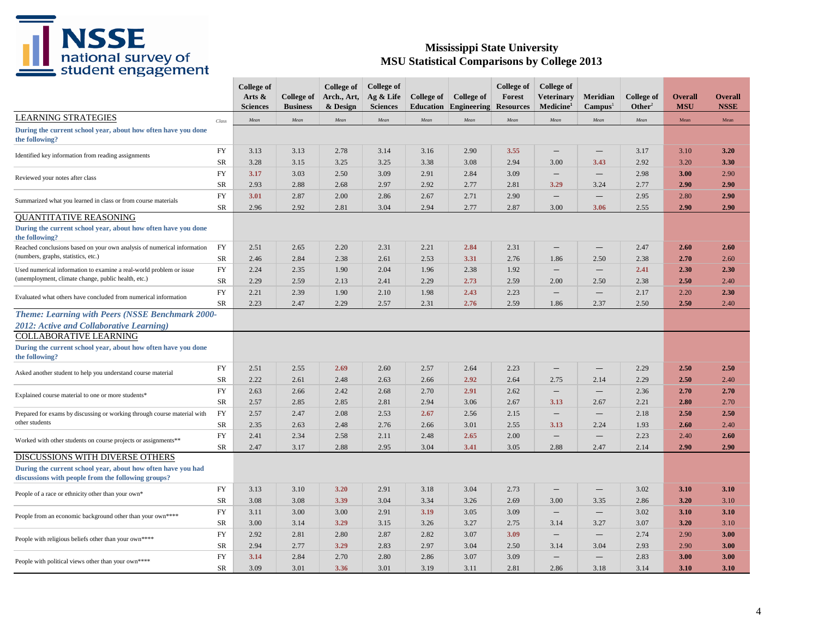

|                                                                                                                    |            | <b>College of</b><br>Arts $\&$<br><b>Sciences</b> | College of<br><b>Business</b> | College of<br>Arch., Art,<br>& Design | <b>College of</b><br>Ag & Life<br><b>Sciences</b> | College of<br><b>Education</b> | College of<br>Engineering | College of<br>Forest<br><b>Resources</b> | College of<br><b>Veterinary</b><br>Medicine <sup>1</sup> | <b>Meridian</b><br>Campus <sup>1</sup> | <b>College of</b><br>Other <sup>2</sup> | Overall<br><b>MSU</b> | Overall<br><b>NSSE</b> |
|--------------------------------------------------------------------------------------------------------------------|------------|---------------------------------------------------|-------------------------------|---------------------------------------|---------------------------------------------------|--------------------------------|---------------------------|------------------------------------------|----------------------------------------------------------|----------------------------------------|-----------------------------------------|-----------------------|------------------------|
| <b>LEARNING STRATEGIES</b>                                                                                         | Class      | Mean                                              | Mean                          | Mean                                  | Mean                                              | Mean                           | Mean                      | Mean                                     | Mean                                                     | Mean                                   | Mean                                    | Mean                  | Mean                   |
| During the current school year, about how often have you done<br>the following?                                    |            |                                                   |                               |                                       |                                                   |                                |                           |                                          |                                                          |                                        |                                         |                       |                        |
| Identified key information from reading assignments                                                                | FY         | 3.13                                              | 3.13                          | 2.78                                  | 3.14                                              | 3.16                           | 2.90                      | 3.55                                     | $\overline{\phantom{m}}$                                 | $\qquad \qquad -$                      | 3.17                                    | 3.10                  | 3.20                   |
|                                                                                                                    | SR         | 3.28                                              | 3.15                          | 3.25                                  | 3.25                                              | 3.38                           | 3.08                      | 2.94                                     | 3.00                                                     | 3.43                                   | 2.92                                    | 3.20                  | 3.30                   |
| Reviewed your notes after class                                                                                    | FY         | 3.17                                              | 3.03                          | 2.50                                  | 3.09                                              | 2.91                           | 2.84                      | 3.09                                     | $\qquad \qquad -$                                        | $\overline{\phantom{0}}$               | 2.98                                    | 3.00                  | 2.90                   |
|                                                                                                                    | SR         | 2.93                                              | 2.88                          | 2.68                                  | 2.97                                              | 2.92                           | 2.77                      | 2.81                                     | 3.29                                                     | 3.24                                   | 2.77                                    | 2.90                  | 2.90                   |
| Summarized what you learned in class or from course materials                                                      | ${\rm FY}$ | 3.01                                              | 2.87                          | 2.00                                  | 2.86                                              | 2.67                           | 2.71                      | 2.90                                     | $\qquad \qquad -$                                        | $\overline{\phantom{0}}$               | 2.95                                    | 2.80                  | 2.90                   |
|                                                                                                                    | ${\rm SR}$ | 2.96                                              | 2.92                          | 2.81                                  | 3.04                                              | 2.94                           | 2.77                      | 2.87                                     | 3.00                                                     | 3.06                                   | 2.55                                    | 2.90                  | 2.90                   |
| <b>OUANTITATIVE REASONING</b>                                                                                      |            |                                                   |                               |                                       |                                                   |                                |                           |                                          |                                                          |                                        |                                         |                       |                        |
| During the current school year, about how often have you done<br>the following?                                    |            |                                                   |                               |                                       |                                                   |                                |                           |                                          |                                                          |                                        |                                         |                       |                        |
| Reached conclusions based on your own analysis of numerical information                                            | FY         | 2.51                                              | 2.65                          | 2.20                                  | 2.31                                              | 2.21                           | 2.84                      | 2.31                                     | $\qquad \qquad -$                                        |                                        | 2.47                                    | 2.60                  | 2.60                   |
| (numbers, graphs, statistics, etc.)                                                                                | SR         | 2.46                                              | 2.84                          | 2.38                                  | 2.61                                              | 2.53                           | 3.31                      | 2.76                                     | 1.86                                                     | 2.50                                   | 2.38                                    | 2.70                  | 2.60                   |
| Used numerical information to examine a real-world problem or issue                                                | FY         | 2.24                                              | 2.35                          | 1.90                                  | 2.04                                              | 1.96                           | 2.38                      | 1.92                                     | $\overline{\phantom{m}}$                                 |                                        | 2.41                                    | 2.30                  | 2.30                   |
| (unemployment, climate change, public health, etc.)                                                                | SR         | 2.29                                              | 2.59                          | 2.13                                  | 2.41                                              | 2.29                           | 2.73                      | 2.59                                     | 2.00                                                     | 2.50                                   | 2.38                                    | 2.50                  | 2.40                   |
| Evaluated what others have concluded from numerical information                                                    | FY         | 2.21                                              | 2.39                          | 1.90                                  | 2.10                                              | 1.98                           | 2.43                      | 2.23                                     | $\qquad \qquad -$                                        |                                        | 2.17                                    | 2.20                  | 2.30                   |
|                                                                                                                    | SR         | 2.23                                              | 2.47                          | 2.29                                  | 2.57                                              | 2.31                           | 2.76                      | 2.59                                     | 1.86                                                     | 2.37                                   | 2.50                                    | 2.50                  | 2.40                   |
| Theme: Learning with Peers (NSSE Benchmark 2000-<br>2012: Active and Collaborative Learning)                       |            |                                                   |                               |                                       |                                                   |                                |                           |                                          |                                                          |                                        |                                         |                       |                        |
| <b>COLLABORATIVE LEARNING</b><br>During the current school year, about how often have you done<br>the following?   |            |                                                   |                               |                                       |                                                   |                                |                           |                                          |                                                          |                                        |                                         |                       |                        |
| Asked another student to help you understand course material                                                       | <b>FY</b>  | 2.51                                              | 2.55                          | 2.69                                  | 2.60                                              | 2.57                           | 2.64                      | 2.23                                     | $\qquad \qquad -$                                        |                                        | 2.29                                    | 2.50                  | 2.50                   |
|                                                                                                                    | SR         | 2.22                                              | 2.61                          | 2.48                                  | 2.63                                              | 2.66                           | 2.92                      | 2.64                                     | 2.75                                                     | 2.14                                   | 2.29                                    | 2.50                  | 2.40                   |
| Explained course material to one or more students*                                                                 | FY         | 2.63                                              | 2.66                          | 2.42                                  | 2.68                                              | 2.70                           | 2.91                      | 2.62                                     | $\overline{\phantom{m}}$                                 | $\overline{\phantom{m}}$               | 2.36                                    | 2.70                  | 2.70                   |
|                                                                                                                    | <b>SR</b>  | 2.57                                              | 2.85                          | 2.85                                  | 2.81                                              | 2.94                           | 3.06                      | 2.67                                     | 3.13                                                     | 2.67                                   | 2.21                                    | 2.80                  | 2.70                   |
| Prepared for exams by discussing or working through course material with                                           | FY         | 2.57                                              | 2.47                          | 2.08                                  | 2.53                                              | 2.67                           | 2.56                      | 2.15                                     | $\overline{\phantom{m}}$                                 |                                        | 2.18                                    | 2.50                  | 2.50                   |
| other students                                                                                                     | SR         | 2.35                                              | 2.63                          | 2.48                                  | 2.76                                              | 2.66                           | 3.01                      | 2.55                                     | 3.13                                                     | 2.24                                   | 1.93                                    | 2.60                  | 2.40                   |
| Worked with other students on course projects or assignments**                                                     | FY         | 2.41                                              | 2.34                          | 2.58                                  | 2.11                                              | 2.48                           | 2.65                      | 2.00                                     | $\overline{\phantom{m}}$                                 | $\overline{\phantom{a}}$               | 2.23                                    | 2.40                  | 2.60                   |
|                                                                                                                    | <b>SR</b>  | 2.47                                              | 3.17                          | 2.88                                  | 2.95                                              | 3.04                           | 3.41                      | 3.05                                     | 2.88                                                     | 2.47                                   | 2.14                                    | 2.90                  | 2.90                   |
| DISCUSSIONS WITH DIVERSE OTHERS                                                                                    |            |                                                   |                               |                                       |                                                   |                                |                           |                                          |                                                          |                                        |                                         |                       |                        |
| During the current school year, about how often have you had<br>discussions with people from the following groups? |            |                                                   |                               |                                       |                                                   |                                |                           |                                          |                                                          |                                        |                                         |                       |                        |
|                                                                                                                    | FY         | 3.13                                              | 3.10                          | 3.20                                  | 2.91                                              | 3.18                           | 3.04                      | 2.73                                     | $\qquad \qquad -$                                        | $\overline{\phantom{0}}$               | 3.02                                    | 3.10                  | 3.10                   |
| People of a race or ethnicity other than your own*                                                                 | SR         | 3.08                                              | 3.08                          | 3.39                                  | 3.04                                              | 3.34                           | 3.26                      | 2.69                                     | 3.00                                                     | 3.35                                   | 2.86                                    | 3.20                  | 3.10                   |
|                                                                                                                    | FY         | 3.11                                              | 3.00                          | 3.00                                  | 2.91                                              | 3.19                           | 3.05                      | 3.09                                     | $\overline{\phantom{m}}$                                 | $\overline{\phantom{m}}$               | 3.02                                    | 3.10                  | 3.10                   |
| People from an economic background other than your own****                                                         | SR         | 3.00                                              | 3.14                          | 3.29                                  | 3.15                                              | 3.26                           | 3.27                      | 2.75                                     | 3.14                                                     | 3.27                                   | 3.07                                    | 3.20                  | 3.10                   |
|                                                                                                                    | <b>FY</b>  | 2.92                                              | 2.81                          | 2.80                                  | 2.87                                              | 2.82                           | 3.07                      | 3.09                                     | $\overline{\phantom{m}}$                                 |                                        | 2.74                                    | 2.90                  | 3.00                   |
| People with religious beliefs other than your own****                                                              | SR         | 2.94                                              | 2.77                          | 3.29                                  | 2.83                                              | 2.97                           | 3.04                      | 2.50                                     | 3.14                                                     | 3.04                                   | 2.93                                    | 2.90                  | 3.00                   |
|                                                                                                                    | FY         | 3.14                                              | 2.84                          | 2.70                                  | 2.80                                              | 2.86                           | 3.07                      | 3.09                                     | $\overline{\phantom{m}}$                                 |                                        | 2.83                                    | 3.00                  | 3.00                   |
| People with political views other than your own****                                                                | <b>SR</b>  | 3.09                                              | 3.01                          | 3.36                                  | 3.01                                              | 3.19                           | 3.11                      | 2.81                                     | 2.86                                                     | 3.18                                   | 3.14                                    | 3.10                  | 3.10                   |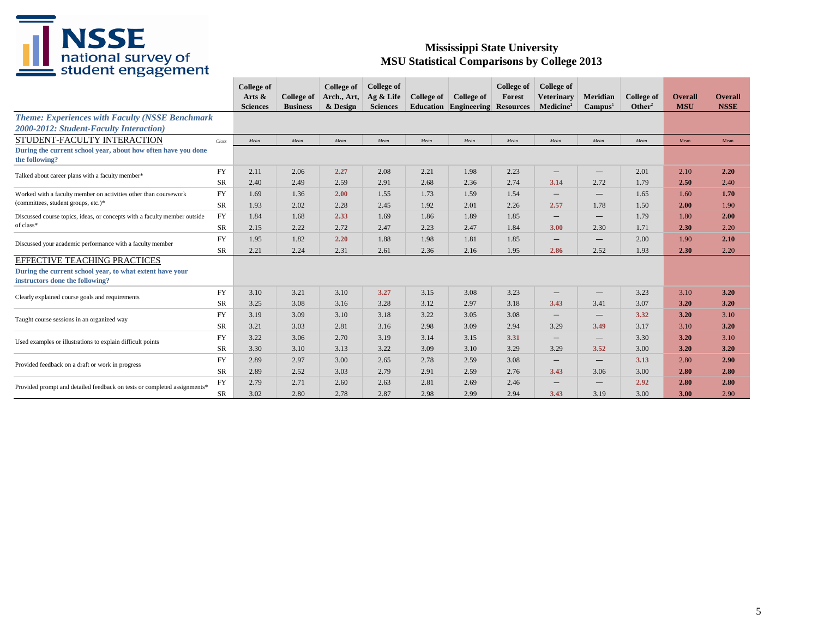

| ັ                                                                                           |            | <b>College of</b> |                   | College of  | <b>College of</b> |                   |                                        | <b>College of</b> | College of               |                          |                    |                |                |
|---------------------------------------------------------------------------------------------|------------|-------------------|-------------------|-------------|-------------------|-------------------|----------------------------------------|-------------------|--------------------------|--------------------------|--------------------|----------------|----------------|
|                                                                                             |            | Arts $\&$         | <b>College of</b> | Arch., Art, | Ag & Life         | <b>College of</b> | College of                             | Forest            | <b>Veterinary</b>        | Meridian                 | <b>College of</b>  | <b>Overall</b> | <b>Overall</b> |
|                                                                                             |            | <b>Sciences</b>   | <b>Business</b>   | & Design    | <b>Sciences</b>   |                   | <b>Education Engineering Resources</b> |                   | Medicine <sup>1</sup>    | Campus <sup>1</sup>      | Other <sup>2</sup> | <b>MSU</b>     | <b>NSSE</b>    |
| <b>Theme: Experiences with Faculty (NSSE Benchmark</b>                                      |            |                   |                   |             |                   |                   |                                        |                   |                          |                          |                    |                |                |
| 2000-2012: Student-Faculty Interaction)                                                     |            |                   |                   |             |                   |                   |                                        |                   |                          |                          |                    |                |                |
| STUDENT-FACULTY INTERACTION                                                                 | Class      | Mean              | Mean              | Mean        | Mean              | Mean              | Mean                                   | Mean              | Mean                     | Mean                     | Mean               | Mean           | Mean           |
| During the current school year, about how often have you done<br>the following?             |            |                   |                   |             |                   |                   |                                        |                   |                          |                          |                    |                |                |
| Talked about career plans with a faculty member*                                            | <b>FY</b>  | 2.11              | 2.06              | 2.27        | 2.08              | 2.21              | 1.98                                   | 2.23              | $\qquad \qquad -$        | $\qquad \qquad$          | 2.01               | 2.10           | 2.20           |
|                                                                                             | <b>SR</b>  | 2.40              | 2.49              | 2.59        | 2.91              | 2.68              | 2.36                                   | 2.74              | 3.14                     | 2.72                     | 1.79               | 2.50           | 2.40           |
| Worked with a faculty member on activities other than coursework                            | <b>FY</b>  | 1.69              | 1.36              | 2.00        | 1.55              | 1.73              | 1.59                                   | 1.54              | $\qquad \qquad -$        | $\qquad \qquad$          | 1.65               | 1.60           | 1.70           |
| (committees, student groups, etc.)*                                                         | <b>SR</b>  | 1.93              | 2.02              | 2.28        | 2.45              | 1.92              | 2.01                                   | 2.26              | 2.57                     | 1.78                     | 1.50               | 2.00           | 1.90           |
| Discussed course topics, ideas, or concepts with a faculty member outside                   | <b>FY</b>  | 1.84              | 1.68              | 2.33        | 1.69              | 1.86              | 1.89                                   | 1.85              | $\overline{\phantom{m}}$ | $\qquad \qquad$          | 1.79               | 1.80           | 2.00           |
| of class*                                                                                   | <b>SR</b>  | 2.15              | 2.22              | 2.72        | 2.47              | 2.23              | 2.47                                   | 1.84              | 3.00                     | 2.30                     | 1.71               | 2.30           | 2.20           |
| Discussed your academic performance with a faculty member                                   | <b>FY</b>  | 1.95              | 1.82              | 2.20        | 1.88              | 1.98              | 1.81                                   | 1.85              | $\qquad \qquad -$        | $\qquad \qquad -$        | 2.00               | 1.90           | 2.10           |
|                                                                                             | <b>SR</b>  | 2.21              | 2.24              | 2.31        | 2.61              | 2.36              | 2.16                                   | 1.95              | 2.86                     | 2.52                     | 1.93               | 2.30           | 2.20           |
| <b>EFFECTIVE TEACHING PRACTICES</b>                                                         |            |                   |                   |             |                   |                   |                                        |                   |                          |                          |                    |                |                |
| During the current school year, to what extent have your<br>instructors done the following? |            |                   |                   |             |                   |                   |                                        |                   |                          |                          |                    |                |                |
|                                                                                             | <b>FY</b>  | 3.10              | 3.21              | 3.10        | 3.27              | 3.15              | 3.08                                   | 3.23              | $\qquad \qquad -$        | $\qquad \qquad$          | 3.23               | 3.10           | 3.20           |
| Clearly explained course goals and requirements                                             | <b>SR</b>  | 3.25              | 3.08              | 3.16        | 3.28              | 3.12              | 2.97                                   | 3.18              | 3.43                     | 3.41                     | 3.07               | 3.20           | 3.20           |
| Taught course sessions in an organized way                                                  | <b>FY</b>  | 3.19              | 3.09              | 3.10        | 3.18              | 3.22              | 3.05                                   | 3.08              | $\qquad \qquad -$        | $\overline{\phantom{0}}$ | 3.32               | 3.20           | 3.10           |
|                                                                                             | <b>SR</b>  | 3.21              | 3.03              | 2.81        | 3.16              | 2.98              | 3.09                                   | 2.94              | 3.29                     | 3.49                     | 3.17               | 3.10           | 3.20           |
| Used examples or illustrations to explain difficult points                                  | <b>FY</b>  | 3.22              | 3.06              | 2.70        | 3.19              | 3.14              | 3.15                                   | 3.31              | $\qquad \qquad -$        | $\qquad \qquad$          | 3.30               | 3.20           | 3.10           |
|                                                                                             | <b>SR</b>  | 3.30              | 3.10              | 3.13        | 3.22              | 3.09              | 3.10                                   | 3.29              | 3.29                     | 3.52                     | 3.00               | 3.20           | 3.20           |
|                                                                                             | <b>FY</b>  | 2.89              | 2.97              | 3.00        | 2.65              | 2.78              | 2.59                                   | 3.08              |                          | $\overline{\phantom{m}}$ | 3.13               | 2.80           | 2.90           |
| Provided feedback on a draft or work in progress                                            | <b>SR</b>  | 2.89              | 2.52              | 3.03        | 2.79              | 2.91              | 2.59                                   | 2.76              | 3.43                     | 3.06                     | 3.00               | 2.80           | 2.80           |
|                                                                                             | ${\rm FY}$ | 2.79              | 2.71              | 2.60        | 2.63              | 2.81              | 2.69                                   | 2.46              | $\overline{\phantom{m}}$ | $\overline{\phantom{m}}$ | 2.92               | 2.80           | 2.80           |
| Provided prompt and detailed feedback on tests or completed assignments*                    | SR         | 3.02              | 2.80              | 2.78        | 2.87              | 2.98              | 2.99                                   | 2.94              | 3.43                     | 3.19                     | 3.00               | 3.00           | 2.90           |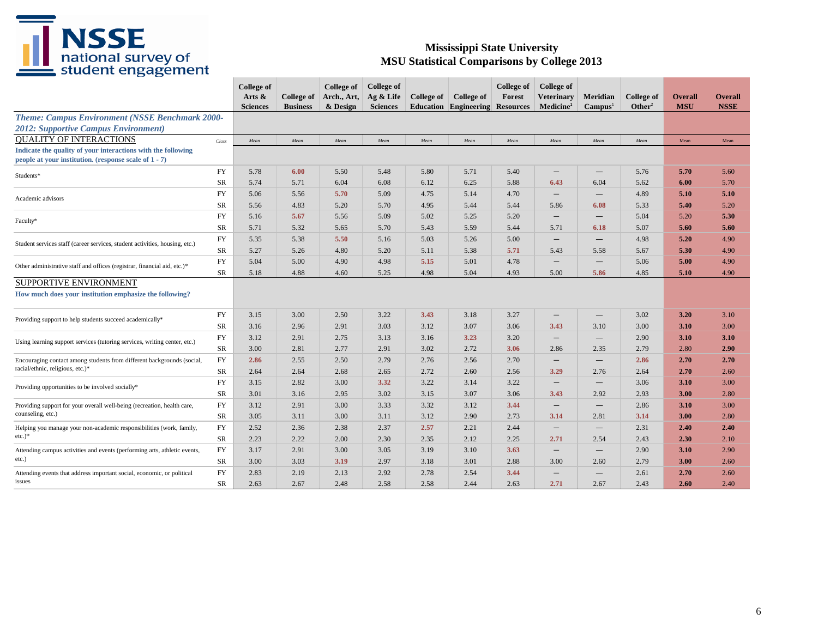

|                                                                                                                          |           | College of<br>Arts $\&$<br><b>Sciences</b> | College of<br><b>Business</b> | <b>College of</b><br>Arch., Art,<br>& Design | <b>College of</b><br>Ag & Life<br><b>Sciences</b> | College of | College of<br><b>Education Engineering Resources</b> | College of<br>Forest | College of<br>Veterinary<br>Medicine <sup>1</sup> | Meridian<br>Campus <sup>1</sup> | College of<br>Other <sup>2</sup> | <b>Overall</b><br><b>MSU</b> | <b>Overall</b><br><b>NSSE</b> |
|--------------------------------------------------------------------------------------------------------------------------|-----------|--------------------------------------------|-------------------------------|----------------------------------------------|---------------------------------------------------|------------|------------------------------------------------------|----------------------|---------------------------------------------------|---------------------------------|----------------------------------|------------------------------|-------------------------------|
| <b>Theme: Campus Environment (NSSE Benchmark 2000-</b>                                                                   |           |                                            |                               |                                              |                                                   |            |                                                      |                      |                                                   |                                 |                                  |                              |                               |
| <b>2012: Supportive Campus Environment)</b>                                                                              |           |                                            |                               |                                              |                                                   |            |                                                      |                      |                                                   |                                 |                                  |                              |                               |
| <b>OUALITY OF INTERACTIONS</b>                                                                                           | Class     | Mean                                       | Mean                          | Mean                                         | Mean                                              | Mean       | Mean                                                 | Mean                 | Mean                                              | Mean                            | Mean                             | Mean                         | Mean                          |
| Indicate the quality of your interactions with the following<br>people at your institution. (response scale of $1 - 7$ ) |           |                                            |                               |                                              |                                                   |            |                                                      |                      |                                                   |                                 |                                  |                              |                               |
| Students*                                                                                                                | FY        | 5.78                                       | 6.00                          | 5.50                                         | 5.48                                              | 5.80       | 5.71                                                 | 5.40                 | $\qquad \qquad -$                                 | $\qquad \qquad -$               | 5.76                             | 5.70                         | 5.60                          |
|                                                                                                                          | SR        | 5.74                                       | 5.71                          | 6.04                                         | 6.08                                              | 6.12       | 6.25                                                 | 5.88                 | 6.43                                              | 6.04                            | 5.62                             | 6.00                         | 5.70                          |
| Academic advisors                                                                                                        | <b>FY</b> | 5.06                                       | 5.56                          | 5.70                                         | 5.09                                              | 4.75       | 5.14                                                 | 4.70                 | $\qquad \qquad -$                                 | $\hspace{0.1mm}-\hspace{0.1mm}$ | 4.89                             | 5.10                         | 5.10                          |
|                                                                                                                          | <b>SR</b> | 5.56                                       | 4.83                          | 5.20                                         | 5.70                                              | 4.95       | 5.44                                                 | 5.44                 | 5.86                                              | 6.08                            | 5.33                             | 5.40                         | 5.20                          |
|                                                                                                                          | FY        | 5.16                                       | 5.67                          | 5.56                                         | 5.09                                              | 5.02       | 5.25                                                 | 5.20                 | $\overline{\phantom{m}}$                          | $\overline{\phantom{m}}$        | 5.04                             | 5.20                         | 5.30                          |
| Faculty*                                                                                                                 | <b>SR</b> | 5.71                                       | 5.32                          | 5.65                                         | 5.70                                              | 5.43       | 5.59                                                 | 5.44                 | 5.71                                              | 6.18                            | 5.07                             | 5.60                         | 5.60                          |
|                                                                                                                          | FY        | 5.35                                       | 5.38                          | 5.50                                         | 5.16                                              | 5.03       | 5.26                                                 | 5.00                 | $\overline{\phantom{m}}$                          |                                 | 4.98                             | 5.20                         | 4.90                          |
| Student services staff (career services, student activities, housing, etc.)                                              | SR        | 5.27                                       | 5.26                          | 4.80                                         | 5.20                                              | 5.11       | 5.38                                                 | 5.71                 | 5.43                                              | 5.58                            | 5.67                             | 5.30                         | 4.90                          |
| Other administrative staff and offices (registrar, financial aid, etc.)*                                                 | <b>FY</b> | 5.04                                       | 5.00                          | 4.90                                         | 4.98                                              | 5.15       | 5.01                                                 | 4.78                 | $\qquad \qquad -$                                 | $\overbrace{\phantom{1232211}}$ | 5.06                             | 5.00                         | 4.90                          |
|                                                                                                                          | SR        | 5.18                                       | 4.88                          | 4.60                                         | 5.25                                              | 4.98       | 5.04                                                 | 4.93                 | 5.00                                              | 5.86                            | 4.85                             | 5.10                         | 4.90                          |
| SUPPORTIVE ENVIRONMENT<br>How much does your institution emphasize the following?                                        |           |                                            |                               |                                              |                                                   |            |                                                      |                      |                                                   |                                 |                                  |                              |                               |
| Providing support to help students succeed academically*                                                                 | <b>FY</b> | 3.15                                       | 3.00                          | 2.50                                         | 3.22                                              | 3.43       | 3.18                                                 | 3.27                 | $\qquad \qquad -$                                 | $\hspace{0.1mm}-\hspace{0.1mm}$ | 3.02                             | 3.20                         | 3.10                          |
|                                                                                                                          | <b>SR</b> | 3.16                                       | 2.96                          | 2.91                                         | 3.03                                              | 3.12       | 3.07                                                 | 3.06                 | 3.43                                              | 3.10                            | 3.00                             | 3.10                         | 3.00                          |
| Using learning support services (tutoring services, writing center, etc.)                                                | FY        | 3.12                                       | 2.91                          | 2.75                                         | 3.13                                              | 3.16       | 3.23                                                 | 3.20                 | $\qquad \qquad -$                                 |                                 | 2.90                             | 3.10                         | 3.10                          |
|                                                                                                                          | SR        | 3.00                                       | 2.81                          | 2.77                                         | 2.91                                              | 3.02       | 2.72                                                 | 3.06                 | 2.86                                              | 2.35                            | 2.79                             | 2.80                         | 2.90                          |
| Encouraging contact among students from different backgrounds (social,                                                   | <b>FY</b> | 2.86                                       | 2.55                          | 2.50                                         | 2.79                                              | 2.76       | 2.56                                                 | 2.70                 | $\overline{\phantom{m}}$                          | $\overline{\phantom{m}}$        | 2.86                             | 2.70                         | 2.70                          |
| racial/ethnic, religious, etc.)*                                                                                         | SR        | 2.64                                       | 2.64                          | 2.68                                         | 2.65                                              | 2.72       | 2.60                                                 | 2.56                 | 3.29                                              | 2.76                            | 2.64                             | 2.70                         | 2.60                          |
| Providing opportunities to be involved socially*                                                                         | FY        | 3.15                                       | 2.82                          | 3.00                                         | 3.32                                              | 3.22       | 3.14                                                 | 3.22                 | $\qquad \qquad -$                                 |                                 | 3.06                             | 3.10                         | 3.00                          |
|                                                                                                                          | SR        | 3.01                                       | 3.16                          | 2.95                                         | 3.02                                              | 3.15       | 3.07                                                 | 3.06                 | 3.43                                              | 2.92                            | 2.93                             | 3.00                         | 2.80                          |
| Providing support for your overall well-being (recreation, health care,                                                  | FY        | 3.12                                       | 2.91                          | 3.00                                         | 3.33                                              | 3.32       | 3.12                                                 | 3.44                 | $\overline{\phantom{m}}$                          |                                 | 2.86                             | 3.10                         | 3.00                          |
| counseling, etc.)                                                                                                        | SR        | 3.05                                       | 3.11                          | 3.00                                         | 3.11                                              | 3.12       | 2.90                                                 | 2.73                 | 3.14                                              | 2.81                            | 3.14                             | 3.00                         | 2.80                          |
| Helping you manage your non-academic responsibilities (work, family,                                                     | FY        | 2.52                                       | 2.36                          | 2.38                                         | 2.37                                              | 2.57       | 2.21                                                 | 2.44                 | $\qquad \qquad -$                                 |                                 | 2.31                             | 2.40                         | 2.40                          |
| $etc.$ )*                                                                                                                | SR        | 2.23                                       | 2.22                          | 2.00                                         | 2.30                                              | 2.35       | 2.12                                                 | 2.25                 | 2.71                                              | 2.54                            | 2.43                             | 2.30                         | 2.10                          |
| Attending campus activities and events (performing arts, athletic events,                                                | FY        | 3.17                                       | 2.91                          | 3.00                                         | 3.05                                              | 3.19       | 3.10                                                 | 3.63                 | $\overline{\phantom{m}}$                          |                                 | 2.90                             | 3.10                         | 2.90                          |
| etc.)                                                                                                                    | <b>SR</b> | 3.00                                       | 3.03                          | 3.19                                         | 2.97                                              | 3.18       | 3.01                                                 | 2.88                 | 3.00                                              | 2.60                            | 2.79                             | 3.00                         | 2.60                          |
| Attending events that address important social, economic, or political                                                   | <b>FY</b> | 2.83                                       | 2.19                          | 2.13                                         | 2.92                                              | 2.78       | 2.54                                                 | 3.44                 |                                                   |                                 | 2.61                             | 2.70                         | 2.60                          |
| issues                                                                                                                   | <b>SR</b> | 2.63                                       | 2.67                          | 2.48                                         | 2.58                                              | 2.58       | 2.44                                                 | 2.63                 | 2.71                                              | 2.67                            | 2.43                             | 2.60                         | 2.40                          |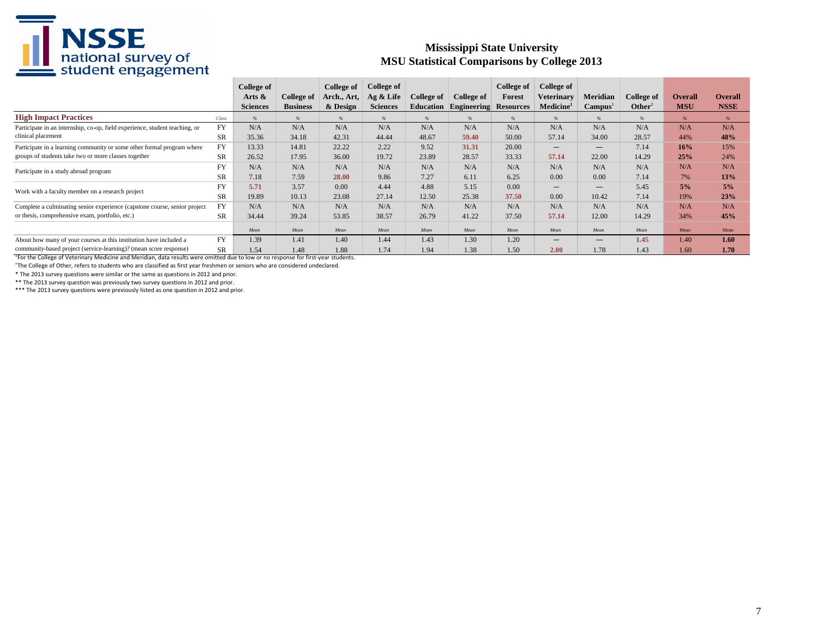#### **Mississippi State University MSU Statistical Comparisons by College 2013**

|                                                                                                                                   |           | College of<br>Arts &<br><b>Sciences</b> | College of<br><b>Business</b> | College of $\parallel$<br>Arch., Art,<br>& Design | College of<br>Ag & Life<br><b>Sciences</b> | College of<br><b>Education</b> | <b>College of</b><br>Engineering | College of<br>Forest<br><b>Resources</b> | College of<br>Veterinarv<br>Medicine <sup>1</sup> | <b>Meridian</b><br>Campus <sup>1</sup> | College of<br>Other <sup>2</sup> | <b>Overall</b><br><b>MSU</b> | <b>Overall</b><br><b>NSSE</b> |
|-----------------------------------------------------------------------------------------------------------------------------------|-----------|-----------------------------------------|-------------------------------|---------------------------------------------------|--------------------------------------------|--------------------------------|----------------------------------|------------------------------------------|---------------------------------------------------|----------------------------------------|----------------------------------|------------------------------|-------------------------------|
| <b>High Impact Practices</b>                                                                                                      | Class     | $\frac{6}{6}$                           | $\frac{6}{6}$                 | $\frac{9}{6}$                                     | $\frac{6}{6}$                              | $\frac{9}{6}$                  | $\%$                             | $\frac{6}{6}$                            | $\frac{0}{0}$                                     | $\frac{0}{a}$                          | $\frac{9}{6}$                    | $\frac{9}{6}$                | $\frac{9}{6}$                 |
| Participate in an internship, co-op, field experience, student teaching, or                                                       | <b>FY</b> | N/A                                     | N/A                           | N/A                                               | N/A                                        | N/A                            | N/A                              | N/A                                      | N/A                                               | N/A                                    | N/A                              | N/A                          | N/A                           |
| clinical placement                                                                                                                | <b>SR</b> | 35.36                                   | 34.18                         | 42.31                                             | 44.44                                      | 48.67                          | 59.40                            | 50.00                                    | 57.14                                             | 34.00                                  | 28.57                            | 44%                          | 48%                           |
| Participate in a learning community or some other formal program where                                                            | FY        | 13.33                                   | 14.81                         | 22.22                                             | 2.22                                       | 9.52                           | 31.31                            | 20.00                                    | $\overline{\phantom{0}}$                          | $\overline{\phantom{m}}$               | 7.14                             | 16%                          | 15%                           |
| groups of students take two or more classes together                                                                              | SR        | 26.52                                   | 17.95                         | 36.00                                             | 19.72                                      | 23.89                          | 28.57                            | 33.33                                    | 57.14                                             | 22.00                                  | 14.29                            | 25%                          | 24%                           |
| Participate in a study abroad program                                                                                             | <b>FY</b> | N/A                                     | N/A                           | N/A                                               | N/A                                        | N/A                            | N/A                              | N/A                                      | N/A                                               | N/A                                    | N/A                              | N/A                          | N/A                           |
|                                                                                                                                   | <b>SR</b> | 7.18                                    | 7.59                          | 28.00                                             | 9.86                                       | 7.27                           | 6.11                             | 6.25                                     | 0.00                                              | 0.00                                   | 7.14                             | 7%                           | 13%                           |
| Work with a faculty member on a research project                                                                                  | <b>FY</b> | 5.71                                    | 3.57                          | 0.00                                              | 4.44                                       | 4.88                           | 5.15                             | 0.00                                     | $\qquad \qquad -$                                 | $\overline{\phantom{m}}$               | 5.45                             | 5%                           | 5%                            |
|                                                                                                                                   | <b>SR</b> | 19.89                                   | 10.13                         | 23.08                                             | 27.14                                      | 12.50                          | 25.38                            | 37.50                                    | 0.00                                              | 10.42                                  | 7.14                             | 19%                          | 23%                           |
| Complete a culminating senior experience (capstone course, senior project                                                         | FY        | N/A                                     | N/A                           | N/A                                               | N/A                                        | N/A                            | N/A                              | N/A                                      | N/A                                               | N/A                                    | N/A                              | N/A                          | N/A                           |
| or thesis, comprehensive exam, portfolio, etc.)                                                                                   | <b>SR</b> | 34.44                                   | 39.24                         | 53.85                                             | 38.57                                      | 26.79                          | 41.22                            | 37.50                                    | 57.14                                             | 12.00                                  | 14.29                            | 34%                          | 45%                           |
|                                                                                                                                   |           | Mean                                    | Mean                          | Mean                                              | Mean                                       | Mean                           | Mean                             | Mean                                     | Mean                                              | Mean                                   | Mean                             | Mean                         | Mean                          |
| About how many of your courses at this institution have included a                                                                | <b>FY</b> | 1.39                                    | 1.41                          | 1.40                                              | 1.44                                       | 1.43                           | 1.30                             | 1.20                                     | $\overline{\phantom{0}}$                          | $\overline{\phantom{0}}$               | 1.45                             | 1.40                         | 1.60                          |
| community-based project (service-learning)? (mean score response)                                                                 | <b>SR</b> | 1.54                                    | 1.48                          | 1.88                                              | 1.74                                       | 1.94                           | 1.38                             | 1.50                                     | 2.00                                              | 1.78                                   | 1.43                             | 1.60                         | 1.70                          |
| For the College of Veterinary Medicine and Meridian, data results were omitted due to low or no response for first-year students. |           |                                         |                               |                                                   |                                            |                                |                                  |                                          |                                                   |                                        |                                  |                              |                               |

2 The College of Other, refers to students who are classified as first year freshmen or seniors who are considered undeclared.

\* The 2013 survey questions were similar or the same as questions in 2012 and prior.

\*\* The 2013 survey question was previously two survey questions in 2012 and prior.

\*\*\* The 2013 survey questions were previously listed as one question in 2012 and prior.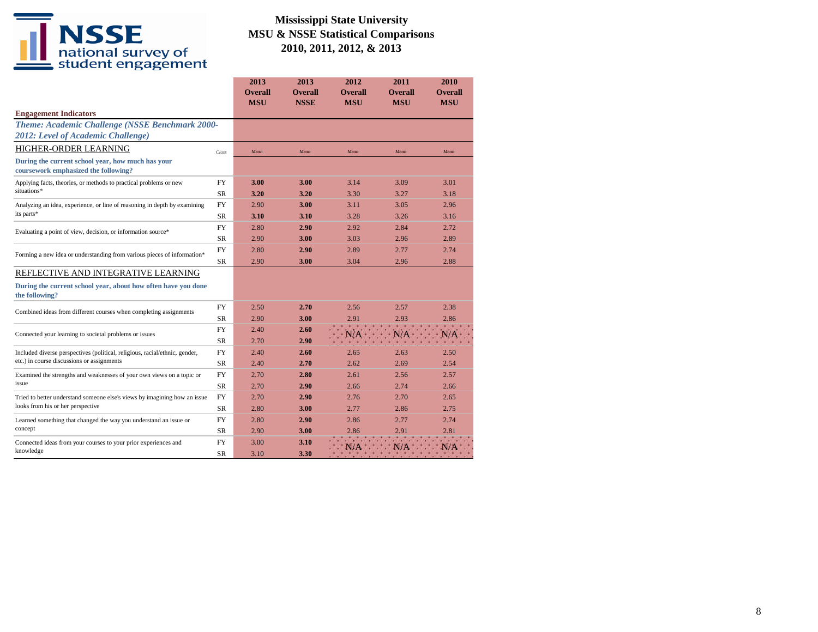|                                                                                 |           | 2013<br><b>Overall</b> | 2013<br><b>Overall</b> | 2012<br><b>Overall</b> | 2011<br><b>Overall</b> | 2010<br><b>Overall</b> |
|---------------------------------------------------------------------------------|-----------|------------------------|------------------------|------------------------|------------------------|------------------------|
|                                                                                 |           | <b>MSU</b>             | <b>NSSE</b>            | <b>MSU</b>             | <b>MSU</b>             | <b>MSU</b>             |
| <b>Engagement Indicators</b>                                                    |           |                        |                        |                        |                        |                        |
| Theme: Academic Challenge (NSSE Benchmark 2000-                                 |           |                        |                        |                        |                        |                        |
| 2012: Level of Academic Challenge)                                              |           |                        |                        |                        |                        |                        |
| HIGHER-ORDER LEARNING                                                           | Class     | Mean                   | Mean                   | Mean                   | Mean                   | Mean                   |
| During the current school year, how much has your                               |           |                        |                        |                        |                        |                        |
| coursework emphasized the following?                                            |           |                        |                        |                        |                        |                        |
| Applying facts, theories, or methods to practical problems or new               | <b>FY</b> | 3.00                   | 3.00                   | 3.14                   | 3.09                   | 3.01                   |
| situations*                                                                     | <b>SR</b> | 3.20                   | 3.20                   | 3.30                   | 3.27                   | 3.18                   |
| Analyzing an idea, experience, or line of reasoning in depth by examining       | <b>FY</b> | 2.90                   | 3.00                   | 3.11                   | 3.05                   | 2.96                   |
| its parts*                                                                      | SR.       | 3.10                   | 3.10                   | 3.28                   | 3.26                   | 3.16                   |
| Evaluating a point of view, decision, or information source*                    | <b>FY</b> | 2.80                   | 2.90                   | 2.92                   | 2.84                   | 2.72                   |
|                                                                                 | <b>SR</b> | 2.90                   | 3.00                   | 3.03                   | 2.96                   | 2.89                   |
| Forming a new idea or understanding from various pieces of information*         | <b>FY</b> | 2.80                   | 2.90                   | 2.89                   | 2.77                   | 2.74                   |
|                                                                                 |           | 2.90                   | 3.00                   | 3.04                   | 2.96                   | 2.88                   |
| REFLECTIVE AND INTEGRATIVE LEARNING                                             |           |                        |                        |                        |                        |                        |
| During the current school year, about how often have you done<br>the following? |           |                        |                        |                        |                        |                        |
| Combined ideas from different courses when completing assignments               | <b>FY</b> | 2.50                   | 2.70                   | 2.56                   | 2.57                   | 2.38                   |
|                                                                                 | <b>SR</b> | 2.90                   | 3.00                   | 2.91                   | 2.93                   | 2.86                   |
| Connected your learning to societal problems or issues                          | <b>FY</b> | 2.40                   | 2.60                   | N/A                    | N/A                    | N/A                    |
|                                                                                 | <b>SR</b> | 2.70                   | 2.90                   |                        |                        |                        |
| Included diverse perspectives (political, religious, racial/ethnic, gender,     | <b>FY</b> | 2.40                   | 2.60                   | 2.65                   | 2.63                   | 2.50                   |
| etc.) in course discussions or assignments                                      | SR        | 2.40                   | 2.70                   | 2.62                   | 2.69                   | 2.54                   |
| Examined the strengths and weaknesses of your own views on a topic or           | <b>FY</b> | 2.70                   | 2.80                   | 2.61                   | 2.56                   | 2.57                   |
| issue                                                                           | SR        | 2.70                   | 2.90                   | 2.66                   | 2.74                   | 2.66                   |
| Tried to better understand someone else's views by imagining how an issue       | <b>FY</b> | 2.70                   | 2.90                   | 2.76                   | 2.70                   | 2.65                   |
| looks from his or her perspective                                               | <b>SR</b> | 2.80                   | 3.00                   | 2.77                   | 2.86                   | 2.75                   |
| Learned something that changed the way you understand an issue or               | <b>FY</b> | 2.80                   | 2.90                   | 2.86                   | 2.77                   | 2.74                   |
| concept                                                                         | <b>SR</b> | 2.90                   | 3.00                   | 2.86                   | 2.91                   | 2.81                   |
| Connected ideas from your courses to your prior experiences and                 | <b>FY</b> | 3.00                   | 3.10                   | N/A                    | N/A                    | N/A                    |
| knowledge                                                                       | <b>SR</b> | 3.10                   | 3.30                   |                        |                        |                        |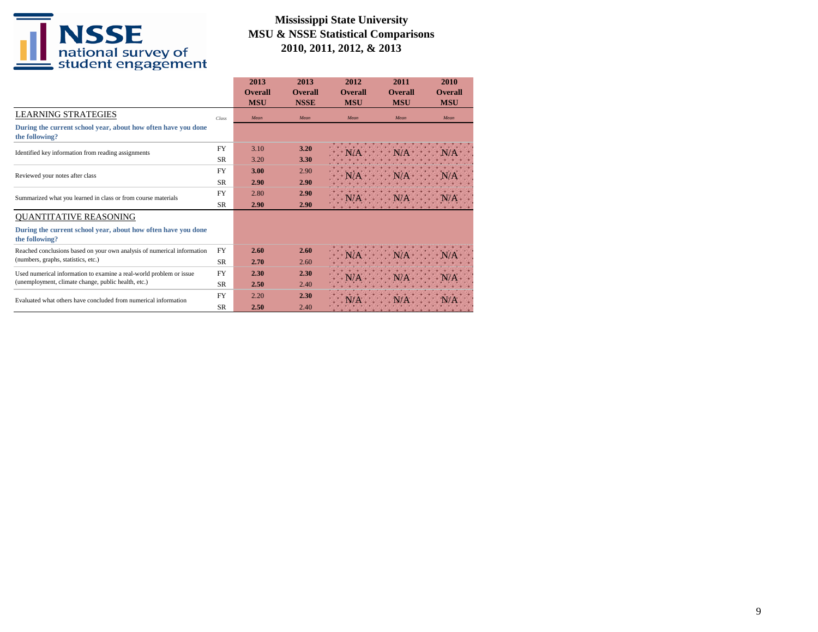

|                                                                                 |           | 2013<br><b>Overall</b><br><b>MSU</b> | 2013<br><b>Overall</b><br><b>NSSE</b> | 2012<br><b>Overall</b><br><b>MSU</b> | 2011<br><b>Overall</b><br><b>MSU</b> | 2010<br><b>Overall</b><br><b>MSU</b> |
|---------------------------------------------------------------------------------|-----------|--------------------------------------|---------------------------------------|--------------------------------------|--------------------------------------|--------------------------------------|
| <b>LEARNING STRATEGIES</b>                                                      | Class     | Mean                                 | Mean                                  | Mean                                 | Mean                                 | Mean                                 |
| During the current school year, about how often have you done<br>the following? |           |                                      |                                       |                                      |                                      |                                      |
| Identified key information from reading assignments                             | <b>FY</b> | 3.10                                 | 3.20                                  |                                      |                                      |                                      |
|                                                                                 | SR.       | 3.20                                 | 3.30                                  |                                      |                                      |                                      |
| Reviewed your notes after class                                                 | <b>FY</b> | 3.00                                 | 2.90                                  |                                      |                                      |                                      |
|                                                                                 | <b>SR</b> | 2.90                                 | 2.90                                  |                                      |                                      |                                      |
|                                                                                 | <b>FY</b> | 2.80                                 | 2.90                                  |                                      |                                      |                                      |
| Summarized what you learned in class or from course materials                   | <b>SR</b> | 2.90                                 | 2.90                                  |                                      |                                      |                                      |
| <b>QUANTITATIVE REASONING</b>                                                   |           |                                      |                                       |                                      |                                      |                                      |
| During the current school year, about how often have you done<br>the following? |           |                                      |                                       |                                      |                                      |                                      |
| Reached conclusions based on your own analysis of numerical information         | <b>FY</b> | 2.60                                 | 2.60                                  |                                      |                                      |                                      |
| (numbers, graphs, statistics, etc.)                                             | <b>SR</b> | 2.70                                 | 2.60                                  |                                      |                                      |                                      |
| Used numerical information to examine a real-world problem or issue             | <b>FY</b> | 2.30                                 | 2.30                                  |                                      |                                      |                                      |
| (unemployment, climate change, public health, etc.)                             | <b>SR</b> | 2.50                                 | 2.40                                  |                                      |                                      |                                      |
| Evaluated what others have concluded from numerical information                 | <b>FY</b> | 2.20                                 | 2.30                                  |                                      |                                      |                                      |
|                                                                                 | <b>SR</b> | 2.50                                 | 2.40                                  |                                      |                                      |                                      |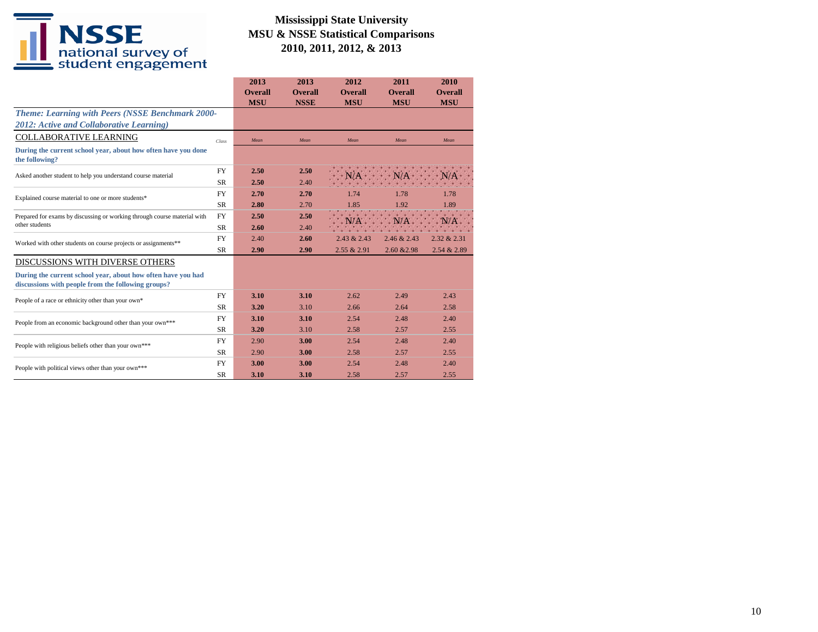|                                                                                                                    |                                                                                     | 2013           | 2013           | 2012           | 2011                                                 | 2010           |
|--------------------------------------------------------------------------------------------------------------------|-------------------------------------------------------------------------------------|----------------|----------------|----------------|------------------------------------------------------|----------------|
|                                                                                                                    |                                                                                     | <b>Overall</b> | <b>Overall</b> | <b>Overall</b> | <b>Overall</b>                                       | <b>Overall</b> |
|                                                                                                                    |                                                                                     | <b>MSU</b>     | <b>NSSE</b>    | <b>MSU</b>     | <b>MSU</b>                                           | <b>MSU</b>     |
| <b>Theme: Learning with Peers (NSSE Benchmark 2000-</b>                                                            |                                                                                     |                |                |                |                                                      |                |
| 2012: Active and Collaborative Learning)                                                                           |                                                                                     |                |                |                |                                                      |                |
| <b>COLLABORATIVE LEARNING</b>                                                                                      | Class                                                                               | Mean           | Mean           | Mean           | Mean                                                 | Mean           |
| During the current school year, about how often have you done<br>the following?                                    |                                                                                     |                |                |                |                                                      |                |
| Asked another student to help you understand course material                                                       | <b>FY</b>                                                                           | 2.50           | 2.50           |                |                                                      |                |
|                                                                                                                    | <b>SR</b>                                                                           | 2.50           | 2.40           |                |                                                      |                |
| Explained course material to one or more students*                                                                 | <b>FY</b>                                                                           | 2.70           | 2.70           | 1.74           | 1.78                                                 | 1.78           |
|                                                                                                                    | <b>SR</b><br>2.80<br>2.70<br><b>FY</b><br>2.50<br>2.50<br><b>SR</b><br>2.60<br>2.40 | 1.85           | 1.92           | 1.89           |                                                      |                |
| Prepared for exams by discussing or working through course material with                                           |                                                                                     |                |                |                |                                                      |                |
| other students                                                                                                     |                                                                                     |                |                |                |                                                      |                |
| Worked with other students on course projects or assignments**                                                     | <b>FY</b>                                                                           | 2.40           | 2.60           | 2.43 & 2.43    | 2.46 & 2.43                                          | 2.32 & 2.31    |
|                                                                                                                    | <b>SR</b>                                                                           | 2.90           | 2.90           | 2.55 & 2.91    | 2.60 & 2.98                                          | 2.54 & 2.89    |
| DISCUSSIONS WITH DIVERSE OTHERS                                                                                    |                                                                                     |                |                |                |                                                      |                |
| During the current school year, about how often have you had<br>discussions with people from the following groups? |                                                                                     |                |                |                |                                                      |                |
| People of a race or ethnicity other than your own*                                                                 | <b>FY</b>                                                                           | 3.10           | 3.10           | 2.62           | 2.49                                                 | 2.43           |
|                                                                                                                    | <b>SR</b>                                                                           | 3.20           | 3.10           | 2.66           | 2.64<br>2.48<br>2.57<br>2.48<br>2.57<br>2.48<br>2.57 | 2.58           |
| People from an economic background other than your own***                                                          | <b>FY</b>                                                                           | 3.10           | 3.10           | 2.54           |                                                      | 2.40           |
|                                                                                                                    | <b>SR</b>                                                                           | 3.20           | 3.10           | 2.58           |                                                      | 2.55           |
| People with religious beliefs other than your own***                                                               | <b>FY</b>                                                                           | 2.90           | 3.00           | 2.54           |                                                      | 2.40           |
|                                                                                                                    | <b>SR</b>                                                                           | 2.90           | 3.00           | 2.58           |                                                      | 2.55           |
| People with political views other than your own***                                                                 | <b>FY</b>                                                                           | 3.00           | 3.00           | 2.54           |                                                      | 2.40           |
|                                                                                                                    | <b>SR</b>                                                                           | 3.10           | 3.10           | 2.58           |                                                      | 2.55           |
|                                                                                                                    |                                                                                     |                |                |                |                                                      |                |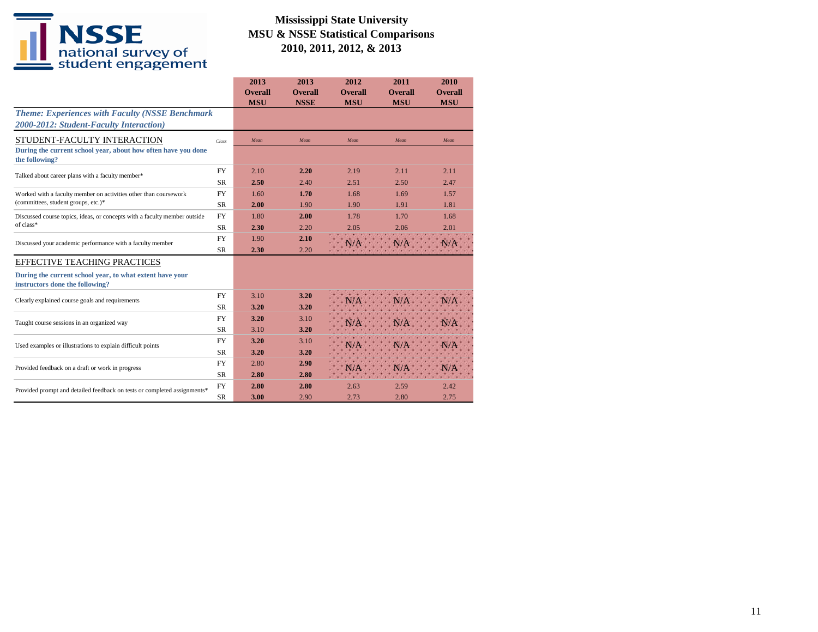|                                                                                             |           | 2013           | 2013           | 2012              | 2011                                                                                                                          | 2010           |
|---------------------------------------------------------------------------------------------|-----------|----------------|----------------|-------------------|-------------------------------------------------------------------------------------------------------------------------------|----------------|
|                                                                                             |           | <b>Overall</b> | <b>Overall</b> | <b>Overall</b>    | <b>Overall</b>                                                                                                                | <b>Overall</b> |
|                                                                                             |           | <b>MSU</b>     | <b>NSSE</b>    | <b>MSU</b>        |                                                                                                                               |                |
| <b>Theme: Experiences with Faculty (NSSE Benchmark</b>                                      |           |                |                |                   |                                                                                                                               |                |
| 2000-2012: Student-Faculty Interaction)                                                     |           |                |                |                   |                                                                                                                               |                |
| STUDENT-FACULTY INTERACTION                                                                 | Class     | Mean           | Mean           | Mean              | Mean                                                                                                                          | Mean           |
| During the current school year, about how often have you done<br>the following?             |           |                |                |                   |                                                                                                                               |                |
| Talked about career plans with a faculty member*                                            | <b>FY</b> | 2.10           | 2.20           | 2.19              | 2.11                                                                                                                          | 2.11           |
|                                                                                             | <b>SR</b> | 2.50           | 2.40           | 2.51              | 2.50                                                                                                                          | 2.47           |
| Worked with a faculty member on activities other than coursework                            | <b>FY</b> | 1.60           | 1.70           | 1.68              | 1.69                                                                                                                          | 1.57           |
| (committees, student groups, etc.)*                                                         | <b>SR</b> | 2.00           | 1.90           | 1.90              | <b>MSU</b><br><b>MSU</b><br>1.91<br>1.81<br>1.70<br>1.68<br>2.06<br>2.01<br><b>CONTRACTOR</b><br>2.59<br>2.42<br>2.80<br>2.75 |                |
| Discussed course topics, ideas, or concepts with a faculty member outside                   | <b>FY</b> | 1.80           | 2.00           | 1.78              |                                                                                                                               |                |
| of class*                                                                                   | <b>SR</b> | 2.30           | 2.20           | 2.05              |                                                                                                                               |                |
| Discussed your academic performance with a faculty member                                   | <b>FY</b> | 1.90           | 2.10           |                   |                                                                                                                               |                |
|                                                                                             | <b>SR</b> | 2.30           | 2.20           |                   |                                                                                                                               |                |
| EFFECTIVE TEACHING PRACTICES                                                                |           |                |                |                   |                                                                                                                               |                |
| During the current school year, to what extent have your<br>instructors done the following? |           |                |                |                   |                                                                                                                               |                |
| Clearly explained course goals and requirements                                             | <b>FY</b> | 3.10           | 3.20           |                   |                                                                                                                               |                |
|                                                                                             | <b>SR</b> | 3.20           | 3.20           |                   |                                                                                                                               |                |
| Taught course sessions in an organized way                                                  | <b>FY</b> | 3.20           | 3.10           |                   |                                                                                                                               |                |
|                                                                                             | <b>SR</b> | 3.10           | 3.20           |                   |                                                                                                                               |                |
| Used examples or illustrations to explain difficult points                                  | <b>FY</b> | 3.20           | 3.10           |                   |                                                                                                                               |                |
|                                                                                             | <b>SR</b> | 3.20           | 3.20           |                   |                                                                                                                               |                |
| Provided feedback on a draft or work in progress                                            | <b>FY</b> | 2.80           | 2.90           |                   |                                                                                                                               |                |
|                                                                                             | <b>SR</b> | 2.80           | 2.80           | <b>STATISTICS</b> |                                                                                                                               |                |
| Provided prompt and detailed feedback on tests or completed assignments*                    | <b>FY</b> | 2.80           | 2.80           | 2.63              |                                                                                                                               |                |
|                                                                                             | <b>SR</b> | 3.00           | 2.90           | 2.73              |                                                                                                                               |                |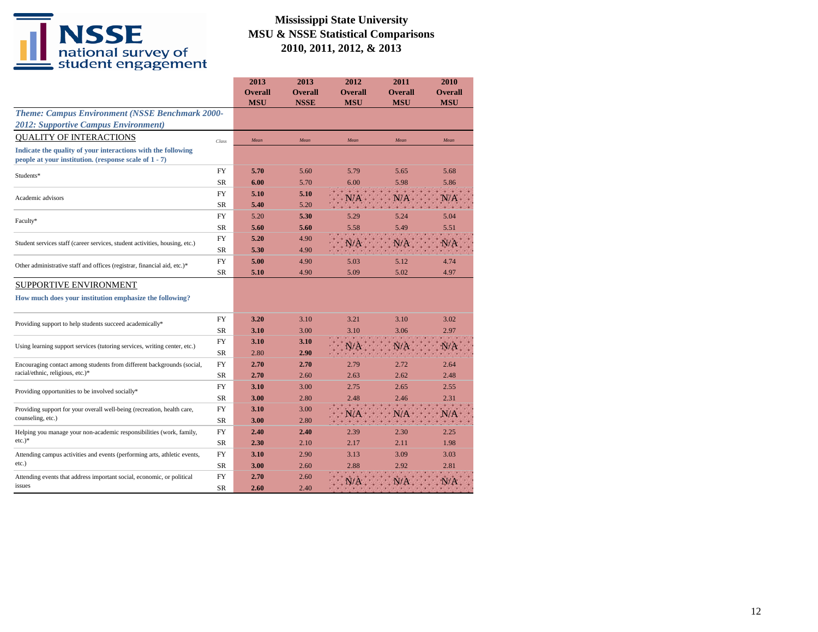|                                                                                                                       |           | 2013<br><b>Overall</b><br><b>MSU</b> | 2013<br><b>Overall</b> | 2012<br><b>Overall</b>                                                                                                                                                                                                                                                                                                                                                                                                                   | 2011<br><b>Overall</b> | 2010<br><b>Overall</b><br><b>MSU</b> |
|-----------------------------------------------------------------------------------------------------------------------|-----------|--------------------------------------|------------------------|------------------------------------------------------------------------------------------------------------------------------------------------------------------------------------------------------------------------------------------------------------------------------------------------------------------------------------------------------------------------------------------------------------------------------------------|------------------------|--------------------------------------|
| Theme: Campus Environment (NSSE Benchmark 2000-                                                                       |           |                                      |                        |                                                                                                                                                                                                                                                                                                                                                                                                                                          |                        |                                      |
| <b>2012: Supportive Campus Environment)</b>                                                                           |           |                                      |                        |                                                                                                                                                                                                                                                                                                                                                                                                                                          |                        |                                      |
| <b>QUALITY OF INTERACTIONS</b>                                                                                        | Class     | Mean                                 | Mean                   | Mean                                                                                                                                                                                                                                                                                                                                                                                                                                     | Mean                   | Mean                                 |
| Indicate the quality of your interactions with the following<br>people at your institution. (response scale of 1 - 7) |           |                                      |                        |                                                                                                                                                                                                                                                                                                                                                                                                                                          |                        |                                      |
| Students*                                                                                                             | FY        | 5.70                                 | 5.60                   | 5.79                                                                                                                                                                                                                                                                                                                                                                                                                                     | 5.65                   | 5.68                                 |
|                                                                                                                       | SR.       | 6.00                                 | 5.70                   | 6.00                                                                                                                                                                                                                                                                                                                                                                                                                                     | 5.98                   | 5.86                                 |
| Academic advisors                                                                                                     | FY        | 5.10                                 | 5.10                   |                                                                                                                                                                                                                                                                                                                                                                                                                                          |                        |                                      |
|                                                                                                                       | SR        | 5.40                                 | 5.20                   |                                                                                                                                                                                                                                                                                                                                                                                                                                          |                        |                                      |
| Faculty*                                                                                                              | FY        | 5.20                                 | 5.30                   | 5.29                                                                                                                                                                                                                                                                                                                                                                                                                                     | 5.24                   | 5.04                                 |
|                                                                                                                       | SR        | 5.60                                 | 5.60                   | 5.58                                                                                                                                                                                                                                                                                                                                                                                                                                     | 5.49                   | 5.51                                 |
| Student services staff (career services, student activities, housing, etc.)                                           | <b>FY</b> | 5.20                                 | 4.90                   |                                                                                                                                                                                                                                                                                                                                                                                                                                          |                        | N/A                                  |
|                                                                                                                       | SR        | 5.30                                 | 4.90                   | <b>NSSE</b><br><b>MSU</b><br><b>MSU</b><br>N/A<br>N/A<br>4.90<br>5.03<br>5.12<br>4.90<br>5.09<br>5.02<br>3.10<br>3.21<br>3.10<br>3.00<br>3.06<br>3.10<br>3.10<br>N/A<br>N/A<br>2.90<br>2.70<br>2.79<br>2.72<br>2.60<br>2.63<br>2.62<br>3.00<br>2.75<br>2.65<br>2.80<br>2.48<br>2.46<br>3.00<br>N/A<br>N/A<br>2.80<br>2.40<br>2.39<br>2.30<br>2.10<br>2.17<br>2.11<br>2.90<br>3.13<br>3.09<br>2.60<br>2.88<br>2.92<br>2.60<br>N/A<br>2.40 |                        |                                      |
| Other administrative staff and offices (registrar, financial aid, etc.)*                                              | FY        | 5.00                                 |                        |                                                                                                                                                                                                                                                                                                                                                                                                                                          |                        | 4.74                                 |
|                                                                                                                       | SR        | 5.10                                 |                        |                                                                                                                                                                                                                                                                                                                                                                                                                                          |                        | 4.97                                 |
| <b>SUPPORTIVE ENVIRONMENT</b>                                                                                         |           |                                      |                        |                                                                                                                                                                                                                                                                                                                                                                                                                                          |                        |                                      |
| How much does your institution emphasize the following?                                                               |           |                                      |                        |                                                                                                                                                                                                                                                                                                                                                                                                                                          |                        |                                      |
| Providing support to help students succeed academically*                                                              | FY        | 3.20                                 |                        |                                                                                                                                                                                                                                                                                                                                                                                                                                          |                        | 3.02                                 |
|                                                                                                                       | SR        | 3.10                                 |                        |                                                                                                                                                                                                                                                                                                                                                                                                                                          |                        | 2.97                                 |
| Using learning support services (tutoring services, writing center, etc.)                                             | <b>FY</b> | 3.10                                 |                        |                                                                                                                                                                                                                                                                                                                                                                                                                                          |                        | N/A                                  |
|                                                                                                                       | SR        | 2.80                                 |                        |                                                                                                                                                                                                                                                                                                                                                                                                                                          |                        |                                      |
| Encouraging contact among students from different backgrounds (social,                                                | FY        | 2.70                                 |                        |                                                                                                                                                                                                                                                                                                                                                                                                                                          |                        | 2.64                                 |
| racial/ethnic, religious, etc.)*                                                                                      | <b>SR</b> | 2.70                                 |                        |                                                                                                                                                                                                                                                                                                                                                                                                                                          |                        | 2.48                                 |
| Providing opportunities to be involved socially*                                                                      | FY        | 3.10                                 |                        | 2.55                                                                                                                                                                                                                                                                                                                                                                                                                                     |                        |                                      |
|                                                                                                                       | SR        | 3.00                                 |                        |                                                                                                                                                                                                                                                                                                                                                                                                                                          |                        | 2.31                                 |
| Providing support for your overall well-being (recreation, health care,                                               | <b>FY</b> | 3.10                                 |                        |                                                                                                                                                                                                                                                                                                                                                                                                                                          |                        | N/A                                  |
| counseling, etc.)                                                                                                     | SR        | 3.00                                 |                        |                                                                                                                                                                                                                                                                                                                                                                                                                                          |                        |                                      |
| Helping you manage your non-academic responsibilities (work, family,                                                  | FY        | 2.40                                 |                        |                                                                                                                                                                                                                                                                                                                                                                                                                                          |                        | 2.25                                 |
| $etc.$ )*                                                                                                             | SR        | 2.30                                 |                        |                                                                                                                                                                                                                                                                                                                                                                                                                                          |                        | 1.98                                 |
| Attending campus activities and events (performing arts, athletic events,                                             | FY        | 3.10                                 |                        |                                                                                                                                                                                                                                                                                                                                                                                                                                          |                        | 3.03                                 |
| etc.)                                                                                                                 | SR        | 3.00                                 |                        |                                                                                                                                                                                                                                                                                                                                                                                                                                          |                        | 2.81                                 |
| Attending events that address important social, economic, or political                                                | <b>FY</b> | 2.70                                 |                        |                                                                                                                                                                                                                                                                                                                                                                                                                                          |                        | N/A                                  |
| issues                                                                                                                | <b>SR</b> | 2.60                                 |                        |                                                                                                                                                                                                                                                                                                                                                                                                                                          |                        |                                      |